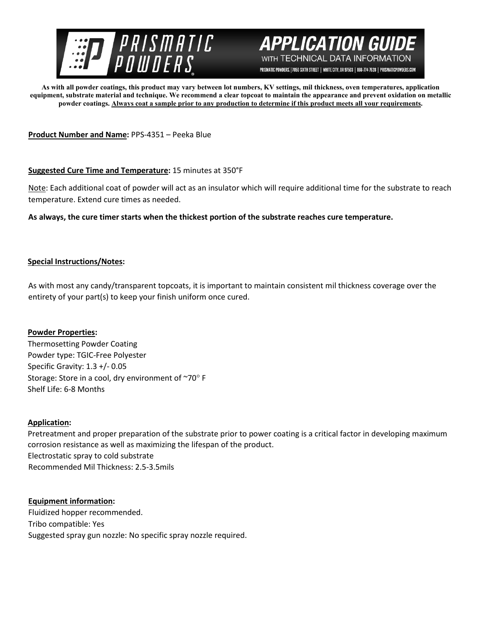

# **APPLICATION GUI** WITH TECHNICAL DATA INFORMATION

PRISMATIC POWDERS. | 7050 SIXTH STREET | WHITE CITY, OR 97503 | 866-774-7628 | PRISMATICPOWDERS.COM

**As with all powder coatings, this product may vary between lot numbers, KV settings, mil thickness, oven temperatures, application equipment, substrate material and technique. We recommend a clear topcoat to maintain the appearance and prevent oxidation on metallic powder coatings. Always coat a sample prior to any production to determine if this product meets all your requirements.** 

**Product Number and Name:** PPS-4351 – Peeka Blue

# **Suggested Cure Time and Temperature:** 15 minutes at 350°F

Note: Each additional coat of powder will act as an insulator which will require additional time for the substrate to reach temperature. Extend cure times as needed.

**As always, the cure timer starts when the thickest portion of the substrate reaches cure temperature.**

# **Special Instructions/Notes:**

As with most any candy/transparent topcoats, it is important to maintain consistent mil thickness coverage over the entirety of your part(s) to keep your finish uniform once cured.

# **Powder Properties:**

Thermosetting Powder Coating Powder type: TGIC-Free Polyester Specific Gravity: 1.3 +/- 0.05 Storage: Store in a cool, dry environment of ~70° F Shelf Life: 6-8 Months

# **Application:**

Pretreatment and proper preparation of the substrate prior to power coating is a critical factor in developing maximum corrosion resistance as well as maximizing the lifespan of the product. Electrostatic spray to cold substrate Recommended Mil Thickness: 2.5-3.5mils

# **Equipment information:**

Fluidized hopper recommended. Tribo compatible: Yes Suggested spray gun nozzle: No specific spray nozzle required.